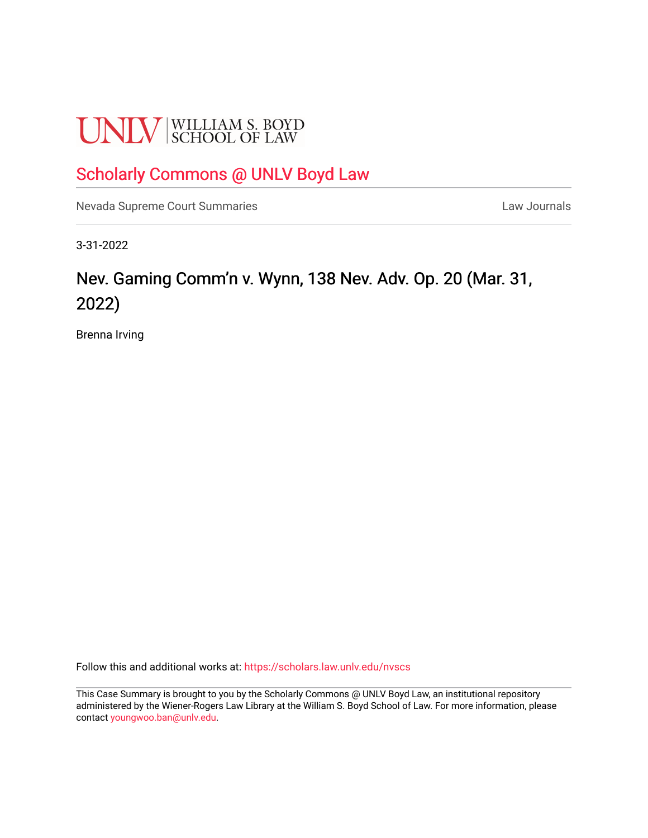# **UNLV** SCHOOL OF LAW

# [Scholarly Commons @ UNLV Boyd Law](https://scholars.law.unlv.edu/)

[Nevada Supreme Court Summaries](https://scholars.law.unlv.edu/nvscs) **Law Journals** Law Journals

3-31-2022

# Nev. Gaming Comm'n v. Wynn, 138 Nev. Adv. Op. 20 (Mar. 31, 2022)

Brenna Irving

Follow this and additional works at: [https://scholars.law.unlv.edu/nvscs](https://scholars.law.unlv.edu/nvscs?utm_source=scholars.law.unlv.edu%2Fnvscs%2F1478&utm_medium=PDF&utm_campaign=PDFCoverPages)

This Case Summary is brought to you by the Scholarly Commons @ UNLV Boyd Law, an institutional repository administered by the Wiener-Rogers Law Library at the William S. Boyd School of Law. For more information, please contact [youngwoo.ban@unlv.edu](mailto:youngwoo.ban@unlv.edu).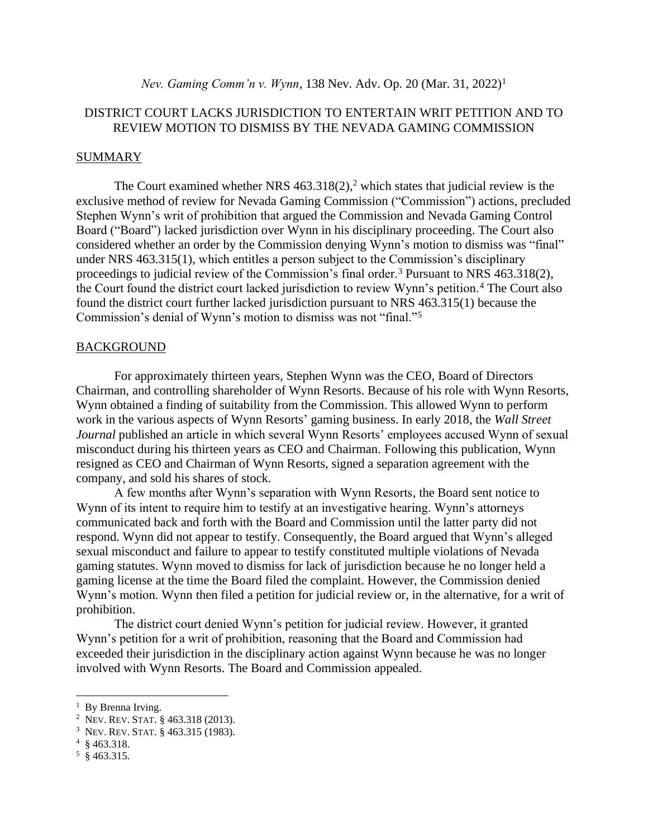# DISTRICT COURT LACKS JURISDICTION TO ENTERTAIN WRIT PETITION AND TO REVIEW MOTION TO DISMISS BY THE NEVADA GAMING COMMISSION

## SUMMARY

The Court examined whether NRS 463.318(2), <sup>2</sup> which states that judicial review is the exclusive method of review for Nevada Gaming Commission ("Commission") actions, precluded Stephen Wynn's writ of prohibition that argued the Commission and Nevada Gaming Control Board ("Board") lacked jurisdiction over Wynn in his disciplinary proceeding. The Court also considered whether an order by the Commission denying Wynn's motion to dismiss was "final" under NRS 463.315(1), which entitles a person subject to the Commission's disciplinary proceedings to judicial review of the Commission's final order.<sup>3</sup> Pursuant to NRS 463.318(2), the Court found the district court lacked jurisdiction to review Wynn's petition.<sup>4</sup> The Court also found the district court further lacked jurisdiction pursuant to NRS 463.315(1) because the Commission's denial of Wynn's motion to dismiss was not "final."<sup>5</sup>

#### BACKGROUND

For approximately thirteen years, Stephen Wynn was the CEO, Board of Directors Chairman, and controlling shareholder of Wynn Resorts. Because of his role with Wynn Resorts, Wynn obtained a finding of suitability from the Commission. This allowed Wynn to perform work in the various aspects of Wynn Resorts' gaming business. In early 2018, the *Wall Street Journal* published an article in which several Wynn Resorts' employees accused Wynn of sexual misconduct during his thirteen years as CEO and Chairman. Following this publication, Wynn resigned as CEO and Chairman of Wynn Resorts, signed a separation agreement with the company, and sold his shares of stock.

A few months after Wynn's separation with Wynn Resorts, the Board sent notice to Wynn of its intent to require him to testify at an investigative hearing. Wynn's attorneys communicated back and forth with the Board and Commission until the latter party did not respond. Wynn did not appear to testify. Consequently, the Board argued that Wynn's alleged sexual misconduct and failure to appear to testify constituted multiple violations of Nevada gaming statutes. Wynn moved to dismiss for lack of jurisdiction because he no longer held a gaming license at the time the Board filed the complaint. However, the Commission denied Wynn's motion. Wynn then filed a petition for judicial review or, in the alternative, for a writ of prohibition.

The district court denied Wynn's petition for judicial review. However, it granted Wynn's petition for a writ of prohibition, reasoning that the Board and Commission had exceeded their jurisdiction in the disciplinary action against Wynn because he was no longer involved with Wynn Resorts. The Board and Commission appealed.

<sup>&</sup>lt;sup>1</sup> By Brenna Irving.

<sup>&</sup>lt;sup>2</sup> Nev. Rev. Stat. § 463.318 (2013).

<sup>3</sup> NEV. REV.STAT. § 463.315 (1983).

 $4\,$  § 463.318.

 $5 \text{ } $463.315.$